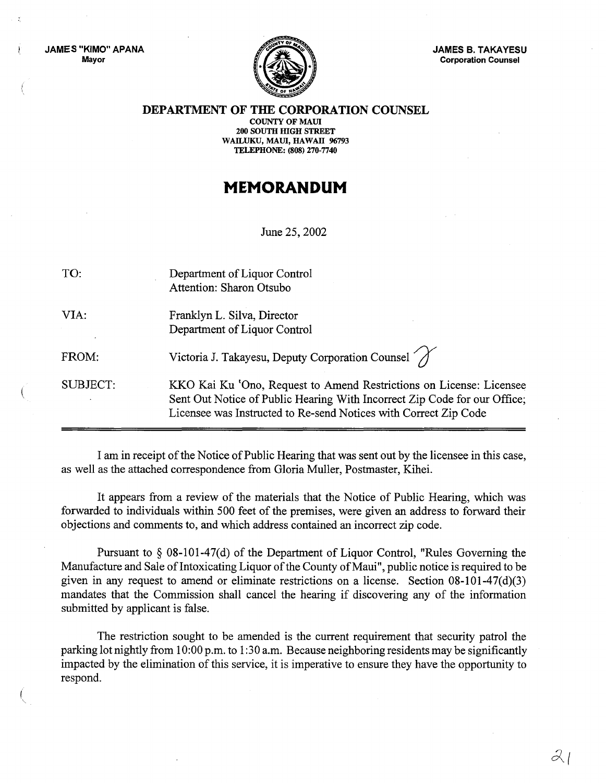JAMES "KIMO" APANA Mayor



JAMES B. TAKAYESU Corporation Counsel

DEPARTMENT OF THE CORPORATION COUNSEL

COUNTY OF MAUl 200 SOUTH HIGH STREET WAILUKU, MAUI, HAWAII 96793 TELEPHONE: (808) 270-7740

## **MEMORANDUM**

June 25, 2002

| TO:             | Department of Liquor Control<br>Attention: Sharon Otsubo                                                                                                                                                             |
|-----------------|----------------------------------------------------------------------------------------------------------------------------------------------------------------------------------------------------------------------|
| VIA:            | Franklyn L. Silva, Director<br>Department of Liquor Control                                                                                                                                                          |
| FROM:           | Victoria J. Takayesu, Deputy Corporation Counsel                                                                                                                                                                     |
| <b>SUBJECT:</b> | KKO Kai Ku 'Ono, Request to Amend Restrictions on License: Licensee<br>Sent Out Notice of Public Hearing With Incorrect Zip Code for our Office;<br>Licensee was Instructed to Re-send Notices with Correct Zip Code |

I am in receipt of the Notice of Public Hearing that was sent out by the licensee in this case, as well as the attached correspondence from Gloria Muller, Postmaster, Kihei.

It appears from a review of the materials that the Notice of Public Hearing, which was forwarded to individuals within 500 feet of the premises, were given an address to forward their objections and comments to, and which address contained an incorrect zip code.

Pursuant to § 08-101-47(d) of the Department of Liquor Control, "Rules Governing the Manufacture and Sale of Intoxicating Liquor of the County of Maui", public notice is required to be given in any request to amend or eliminate restrictions on a license. Section  $08-101-47(d)(3)$ mandates that the Commission shall cancel the hearing if discovering any of the information submitted by applicant is false.

The restriction sought to be amended is the current requirement that security patrol the parking lot nightly from 10:00 p.m. to 1:30 a.m. Because neighboring residents may be significantly impacted by the elimination of this service, it is imperative to ensure they have the opportunity to respond.

*;z(*